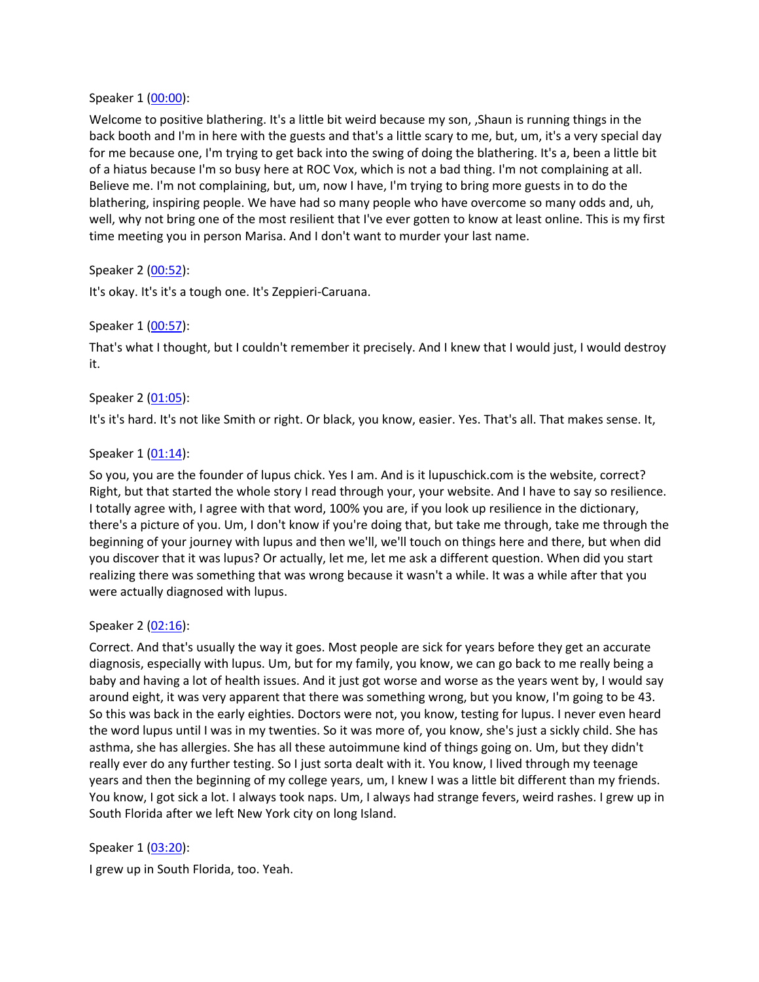#### Speaker 1 ([00:00](https://www.temi.com/editor/t/pU7z3CuQIqpzWOVG_dDyO-YYXZDFmEHa6jJJtX16Ztm1EgtyEWRsiZoXlYPXfgoovF4p_iCRHXtguVVCnfvk6YobUDU?loadFrom=SharedLink&ts=0.39)):

Welcome to positive blathering. It's a little bit weird because my son, , Shaun is running things in the back booth and I'm in here with the guests and that's a little scary to me, but, um, it's a very special day for me because one, I'm trying to get back into the swing of doing the blathering. It's a, been a little bit of a hiatus because I'm so busy here at ROC Vox, which is not a bad thing. I'm not complaining at all. Believe me. I'm not complaining, but, um, now I have, I'm trying to bring more guests in to do the blathering, inspiring people. We have had so many people who have overcome so many odds and, uh, well, why not bring one of the most resilient that I've ever gotten to know at least online. This is my first time meeting you in person Marisa. And I don't want to murder your last name.

## Speaker 2 ([00:52](https://www.temi.com/editor/t/pU7z3CuQIqpzWOVG_dDyO-YYXZDFmEHa6jJJtX16Ztm1EgtyEWRsiZoXlYPXfgoovF4p_iCRHXtguVVCnfvk6YobUDU?loadFrom=SharedLink&ts=52.55)):

It's okay. It's it's a tough one. It's Zeppieri-Caruana.

## Speaker 1 ([00:57](https://www.temi.com/editor/t/pU7z3CuQIqpzWOVG_dDyO-YYXZDFmEHa6jJJtX16Ztm1EgtyEWRsiZoXlYPXfgoovF4p_iCRHXtguVVCnfvk6YobUDU?loadFrom=SharedLink&ts=57.11)):

That's what I thought, but I couldn't remember it precisely. And I knew that I would just, I would destroy it.

## Speaker 2 ([01:05](https://www.temi.com/editor/t/pU7z3CuQIqpzWOVG_dDyO-YYXZDFmEHa6jJJtX16Ztm1EgtyEWRsiZoXlYPXfgoovF4p_iCRHXtguVVCnfvk6YobUDU?loadFrom=SharedLink&ts=65.18)):

It's it's hard. It's not like Smith or right. Or black, you know, easier. Yes. That's all. That makes sense. It,

#### Speaker 1 ([01:14](https://www.temi.com/editor/t/pU7z3CuQIqpzWOVG_dDyO-YYXZDFmEHa6jJJtX16Ztm1EgtyEWRsiZoXlYPXfgoovF4p_iCRHXtguVVCnfvk6YobUDU?loadFrom=SharedLink&ts=74.66)):

So you, you are the founder of lupus chick. Yes I am. And is it lupuschick.com is the website, correct? Right, but that started the whole story I read through your, your website. And I have to say so resilience. I totally agree with, I agree with that word, 100% you are, if you look up resilience in the dictionary, there's a picture of you. Um, I don't know if you're doing that, but take me through, take me through the beginning of your journey with lupus and then we'll, we'll touch on things here and there, but when did you discover that it was lupus? Or actually, let me, let me ask a different question. When did you start realizing there was something that was wrong because it wasn't a while. It was a while after that you were actually diagnosed with lupus.

#### Speaker 2 ([02:16](https://www.temi.com/editor/t/pU7z3CuQIqpzWOVG_dDyO-YYXZDFmEHa6jJJtX16Ztm1EgtyEWRsiZoXlYPXfgoovF4p_iCRHXtguVVCnfvk6YobUDU?loadFrom=SharedLink&ts=136.46)):

Correct. And that's usually the way it goes. Most people are sick for years before they get an accurate diagnosis, especially with lupus. Um, but for my family, you know, we can go back to me really being a baby and having a lot of health issues. And it just got worse and worse as the years went by, I would say around eight, it was very apparent that there was something wrong, but you know, I'm going to be 43. So this was back in the early eighties. Doctors were not, you know, testing for lupus. I never even heard the word lupus until I was in my twenties. So it was more of, you know, she's just a sickly child. She has asthma, she has allergies. She has all these autoimmune kind of things going on. Um, but they didn't really ever do any further testing. So I just sorta dealt with it. You know, I lived through my teenage years and then the beginning of my college years, um, I knew I was a little bit different than my friends. You know, I got sick a lot. I always took naps. Um, I always had strange fevers, weird rashes. I grew up in South Florida after we left New York city on long Island.

## Speaker 1 ([03:20](https://www.temi.com/editor/t/pU7z3CuQIqpzWOVG_dDyO-YYXZDFmEHa6jJJtX16Ztm1EgtyEWRsiZoXlYPXfgoovF4p_iCRHXtguVVCnfvk6YobUDU?loadFrom=SharedLink&ts=200.91)):

I grew up in South Florida, too. Yeah.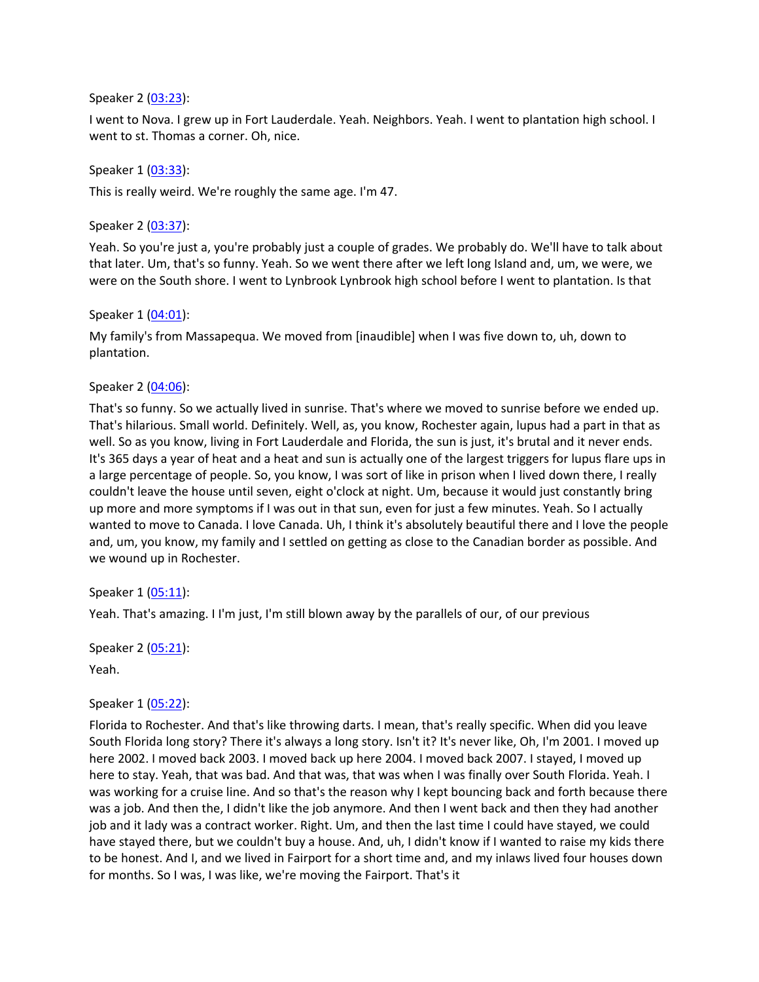#### Speaker 2 ([03:23](https://www.temi.com/editor/t/pU7z3CuQIqpzWOVG_dDyO-YYXZDFmEHa6jJJtX16Ztm1EgtyEWRsiZoXlYPXfgoovF4p_iCRHXtguVVCnfvk6YobUDU?loadFrom=SharedLink&ts=203.46)):

I went to Nova. I grew up in Fort Lauderdale. Yeah. Neighbors. Yeah. I went to plantation high school. I went to st. Thomas a corner. Oh, nice.

#### Speaker 1 ([03:33](https://www.temi.com/editor/t/pU7z3CuQIqpzWOVG_dDyO-YYXZDFmEHa6jJJtX16Ztm1EgtyEWRsiZoXlYPXfgoovF4p_iCRHXtguVVCnfvk6YobUDU?loadFrom=SharedLink&ts=213.63)):

This is really weird. We're roughly the same age. I'm 47.

#### Speaker 2 ([03:37](https://www.temi.com/editor/t/pU7z3CuQIqpzWOVG_dDyO-YYXZDFmEHa6jJJtX16Ztm1EgtyEWRsiZoXlYPXfgoovF4p_iCRHXtguVVCnfvk6YobUDU?loadFrom=SharedLink&ts=217.98)):

Yeah. So you're just a, you're probably just a couple of grades. We probably do. We'll have to talk about that later. Um, that's so funny. Yeah. So we went there after we left long Island and, um, we were, we were on the South shore. I went to Lynbrook Lynbrook high school before I went to plantation. Is that

#### Speaker 1 ([04:01](https://www.temi.com/editor/t/pU7z3CuQIqpzWOVG_dDyO-YYXZDFmEHa6jJJtX16Ztm1EgtyEWRsiZoXlYPXfgoovF4p_iCRHXtguVVCnfvk6YobUDU?loadFrom=SharedLink&ts=241.11)):

My family's from Massapequa. We moved from [inaudible] when I was five down to, uh, down to plantation.

## Speaker 2 ([04:06](https://www.temi.com/editor/t/pU7z3CuQIqpzWOVG_dDyO-YYXZDFmEHa6jJJtX16Ztm1EgtyEWRsiZoXlYPXfgoovF4p_iCRHXtguVVCnfvk6YobUDU?loadFrom=SharedLink&ts=246.63)):

That's so funny. So we actually lived in sunrise. That's where we moved to sunrise before we ended up. That's hilarious. Small world. Definitely. Well, as, you know, Rochester again, lupus had a part in that as well. So as you know, living in Fort Lauderdale and Florida, the sun is just, it's brutal and it never ends. It's 365 days a year of heat and a heat and sun is actually one of the largest triggers for lupus flare ups in a large percentage of people. So, you know, I was sort of like in prison when I lived down there, I really couldn't leave the house until seven, eight o'clock at night. Um, because it would just constantly bring up more and more symptoms if I was out in that sun, even for just a few minutes. Yeah. So I actually wanted to move to Canada. I love Canada. Uh, I think it's absolutely beautiful there and I love the people and, um, you know, my family and I settled on getting as close to the Canadian border as possible. And we wound up in Rochester.

Speaker 1 ([05:11](https://www.temi.com/editor/t/pU7z3CuQIqpzWOVG_dDyO-YYXZDFmEHa6jJJtX16Ztm1EgtyEWRsiZoXlYPXfgoovF4p_iCRHXtguVVCnfvk6YobUDU?loadFrom=SharedLink&ts=311.46)):

Yeah. That's amazing. I I'm just, I'm still blown away by the parallels of our, of our previous

Speaker 2 ([05:21](https://www.temi.com/editor/t/pU7z3CuQIqpzWOVG_dDyO-YYXZDFmEHa6jJJtX16Ztm1EgtyEWRsiZoXlYPXfgoovF4p_iCRHXtguVVCnfvk6YobUDU?loadFrom=SharedLink&ts=321.12)):

Yeah.

## Speaker 1 ([05:22](https://www.temi.com/editor/t/pU7z3CuQIqpzWOVG_dDyO-YYXZDFmEHa6jJJtX16Ztm1EgtyEWRsiZoXlYPXfgoovF4p_iCRHXtguVVCnfvk6YobUDU?loadFrom=SharedLink&ts=322.51)):

Florida to Rochester. And that's like throwing darts. I mean, that's really specific. When did you leave South Florida long story? There it's always a long story. Isn't it? It's never like, Oh, I'm 2001. I moved up here 2002. I moved back 2003. I moved back up here 2004. I moved back 2007. I stayed, I moved up here to stay. Yeah, that was bad. And that was, that was when I was finally over South Florida. Yeah. I was working for a cruise line. And so that's the reason why I kept bouncing back and forth because there was a job. And then the, I didn't like the job anymore. And then I went back and then they had another job and it lady was a contract worker. Right. Um, and then the last time I could have stayed, we could have stayed there, but we couldn't buy a house. And, uh, I didn't know if I wanted to raise my kids there to be honest. And I, and we lived in Fairport for a short time and, and my inlaws lived four houses down for months. So I was, I was like, we're moving the Fairport. That's it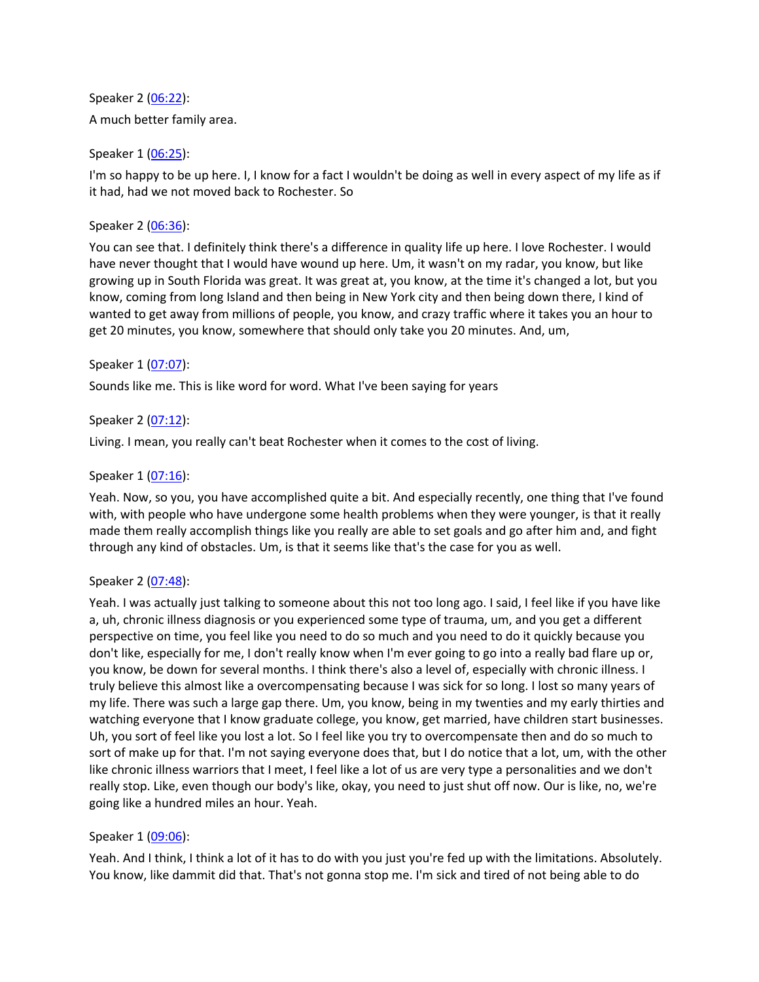Speaker 2 ([06:22](https://www.temi.com/editor/t/pU7z3CuQIqpzWOVG_dDyO-YYXZDFmEHa6jJJtX16Ztm1EgtyEWRsiZoXlYPXfgoovF4p_iCRHXtguVVCnfvk6YobUDU?loadFrom=SharedLink&ts=382.63)): A much better family area.

Speaker 1 ([06:25](https://www.temi.com/editor/t/pU7z3CuQIqpzWOVG_dDyO-YYXZDFmEHa6jJJtX16Ztm1EgtyEWRsiZoXlYPXfgoovF4p_iCRHXtguVVCnfvk6YobUDU?loadFrom=SharedLink&ts=385.42)):

I'm so happy to be up here. I, I know for a fact I wouldn't be doing as well in every aspect of my life as if it had, had we not moved back to Rochester. So

Speaker 2 ([06:36](https://www.temi.com/editor/t/pU7z3CuQIqpzWOVG_dDyO-YYXZDFmEHa6jJJtX16Ztm1EgtyEWRsiZoXlYPXfgoovF4p_iCRHXtguVVCnfvk6YobUDU?loadFrom=SharedLink&ts=396.19)):

You can see that. I definitely think there's a difference in quality life up here. I love Rochester. I would have never thought that I would have wound up here. Um, it wasn't on my radar, you know, but like growing up in South Florida was great. It was great at, you know, at the time it's changed a lot, but you know, coming from long Island and then being in New York city and then being down there, I kind of wanted to get away from millions of people, you know, and crazy traffic where it takes you an hour to get 20 minutes, you know, somewhere that should only take you 20 minutes. And, um,

# Speaker 1 ([07:07](https://www.temi.com/editor/t/pU7z3CuQIqpzWOVG_dDyO-YYXZDFmEHa6jJJtX16Ztm1EgtyEWRsiZoXlYPXfgoovF4p_iCRHXtguVVCnfvk6YobUDU?loadFrom=SharedLink&ts=427.64)):

Sounds like me. This is like word for word. What I've been saying for years

Speaker 2 ([07:12](https://www.temi.com/editor/t/pU7z3CuQIqpzWOVG_dDyO-YYXZDFmEHa6jJJtX16Ztm1EgtyEWRsiZoXlYPXfgoovF4p_iCRHXtguVVCnfvk6YobUDU?loadFrom=SharedLink&ts=432.36)):

Living. I mean, you really can't beat Rochester when it comes to the cost of living.

## Speaker 1 ([07:16](https://www.temi.com/editor/t/pU7z3CuQIqpzWOVG_dDyO-YYXZDFmEHa6jJJtX16Ztm1EgtyEWRsiZoXlYPXfgoovF4p_iCRHXtguVVCnfvk6YobUDU?loadFrom=SharedLink&ts=436.33)):

Yeah. Now, so you, you have accomplished quite a bit. And especially recently, one thing that I've found with, with people who have undergone some health problems when they were younger, is that it really made them really accomplish things like you really are able to set goals and go after him and, and fight through any kind of obstacles. Um, is that it seems like that's the case for you as well.

## Speaker 2 ([07:48](https://www.temi.com/editor/t/pU7z3CuQIqpzWOVG_dDyO-YYXZDFmEHa6jJJtX16Ztm1EgtyEWRsiZoXlYPXfgoovF4p_iCRHXtguVVCnfvk6YobUDU?loadFrom=SharedLink&ts=468.58)):

Yeah. I was actually just talking to someone about this not too long ago. I said, I feel like if you have like a, uh, chronic illness diagnosis or you experienced some type of trauma, um, and you get a different perspective on time, you feel like you need to do so much and you need to do it quickly because you don't like, especially for me, I don't really know when I'm ever going to go into a really bad flare up or, you know, be down for several months. I think there's also a level of, especially with chronic illness. I truly believe this almost like a overcompensating because I was sick for so long. I lost so many years of my life. There was such a large gap there. Um, you know, being in my twenties and my early thirties and watching everyone that I know graduate college, you know, get married, have children start businesses. Uh, you sort of feel like you lost a lot. So I feel like you try to overcompensate then and do so much to sort of make up for that. I'm not saying everyone does that, but I do notice that a lot, um, with the other like chronic illness warriors that I meet, I feel like a lot of us are very type a personalities and we don't really stop. Like, even though our body's like, okay, you need to just shut off now. Our is like, no, we're going like a hundred miles an hour. Yeah.

## Speaker 1 ([09:06](https://www.temi.com/editor/t/pU7z3CuQIqpzWOVG_dDyO-YYXZDFmEHa6jJJtX16Ztm1EgtyEWRsiZoXlYPXfgoovF4p_iCRHXtguVVCnfvk6YobUDU?loadFrom=SharedLink&ts=546.38)):

Yeah. And I think, I think a lot of it has to do with you just you're fed up with the limitations. Absolutely. You know, like dammit did that. That's not gonna stop me. I'm sick and tired of not being able to do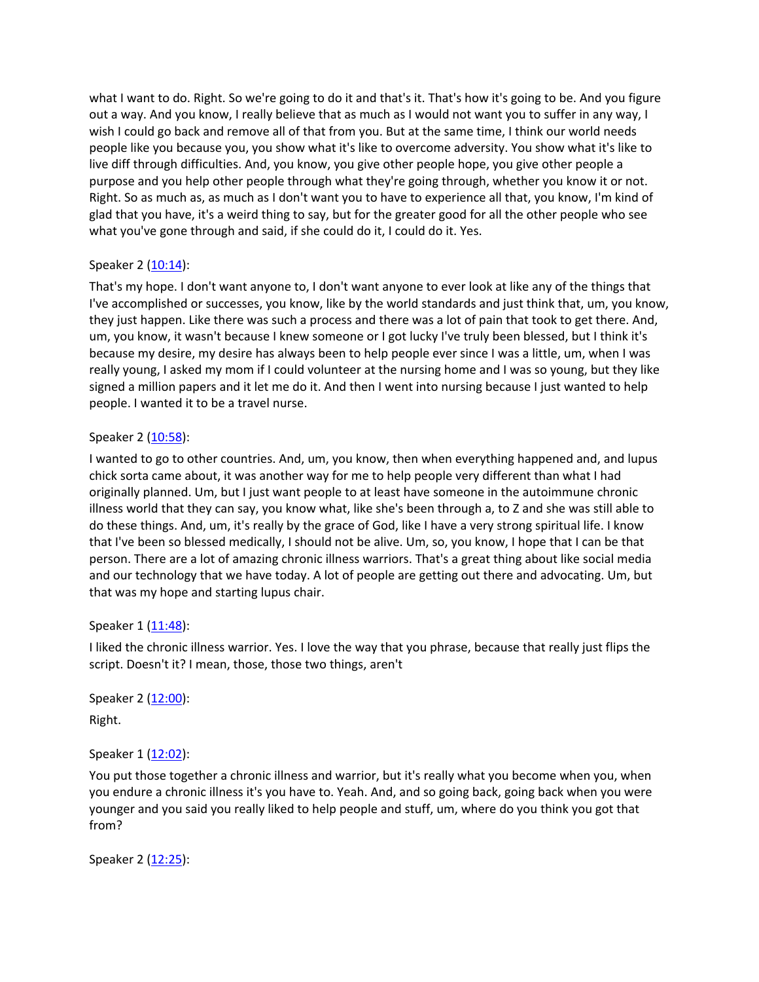what I want to do. Right. So we're going to do it and that's it. That's how it's going to be. And you figure out a way. And you know, I really believe that as much as I would not want you to suffer in any way, I wish I could go back and remove all of that from you. But at the same time, I think our world needs people like you because you, you show what it's like to overcome adversity. You show what it's like to live diff through difficulties. And, you know, you give other people hope, you give other people a purpose and you help other people through what they're going through, whether you know it or not. Right. So as much as, as much as I don't want you to have to experience all that, you know, I'm kind of glad that you have, it's a weird thing to say, but for the greater good for all the other people who see what you've gone through and said, if she could do it, I could do it. Yes.

# Speaker 2 ([10:14](https://www.temi.com/editor/t/pU7z3CuQIqpzWOVG_dDyO-YYXZDFmEHa6jJJtX16Ztm1EgtyEWRsiZoXlYPXfgoovF4p_iCRHXtguVVCnfvk6YobUDU?loadFrom=SharedLink&ts=614.3)):

That's my hope. I don't want anyone to, I don't want anyone to ever look at like any of the things that I've accomplished or successes, you know, like by the world standards and just think that, um, you know, they just happen. Like there was such a process and there was a lot of pain that took to get there. And, um, you know, it wasn't because I knew someone or I got lucky I've truly been blessed, but I think it's because my desire, my desire has always been to help people ever since I was a little, um, when I was really young, I asked my mom if I could volunteer at the nursing home and I was so young, but they like signed a million papers and it let me do it. And then I went into nursing because I just wanted to help people. I wanted it to be a travel nurse.

# Speaker 2 ([10:58](https://www.temi.com/editor/t/pU7z3CuQIqpzWOVG_dDyO-YYXZDFmEHa6jJJtX16Ztm1EgtyEWRsiZoXlYPXfgoovF4p_iCRHXtguVVCnfvk6YobUDU?loadFrom=SharedLink&ts=658.58)):

I wanted to go to other countries. And, um, you know, then when everything happened and, and lupus chick sorta came about, it was another way for me to help people very different than what I had originally planned. Um, but I just want people to at least have someone in the autoimmune chronic illness world that they can say, you know what, like she's been through a, to Z and she was still able to do these things. And, um, it's really by the grace of God, like I have a very strong spiritual life. I know that I've been so blessed medically, I should not be alive. Um, so, you know, I hope that I can be that person. There are a lot of amazing chronic illness warriors. That's a great thing about like social media and our technology that we have today. A lot of people are getting out there and advocating. Um, but that was my hope and starting lupus chair.

## Speaker 1 ([11:48](https://www.temi.com/editor/t/pU7z3CuQIqpzWOVG_dDyO-YYXZDFmEHa6jJJtX16Ztm1EgtyEWRsiZoXlYPXfgoovF4p_iCRHXtguVVCnfvk6YobUDU?loadFrom=SharedLink&ts=708.23)):

I liked the chronic illness warrior. Yes. I love the way that you phrase, because that really just flips the script. Doesn't it? I mean, those, those two things, aren't

Speaker 2 ([12:00](https://www.temi.com/editor/t/pU7z3CuQIqpzWOVG_dDyO-YYXZDFmEHa6jJJtX16Ztm1EgtyEWRsiZoXlYPXfgoovF4p_iCRHXtguVVCnfvk6YobUDU?loadFrom=SharedLink&ts=720.63)): Right.

# Speaker 1 ([12:02](https://www.temi.com/editor/t/pU7z3CuQIqpzWOVG_dDyO-YYXZDFmEHa6jJJtX16Ztm1EgtyEWRsiZoXlYPXfgoovF4p_iCRHXtguVVCnfvk6YobUDU?loadFrom=SharedLink&ts=722.26)):

You put those together a chronic illness and warrior, but it's really what you become when you, when you endure a chronic illness it's you have to. Yeah. And, and so going back, going back when you were younger and you said you really liked to help people and stuff, um, where do you think you got that from?

Speaker 2 ([12:25](https://www.temi.com/editor/t/pU7z3CuQIqpzWOVG_dDyO-YYXZDFmEHa6jJJtX16Ztm1EgtyEWRsiZoXlYPXfgoovF4p_iCRHXtguVVCnfvk6YobUDU?loadFrom=SharedLink&ts=745.05)):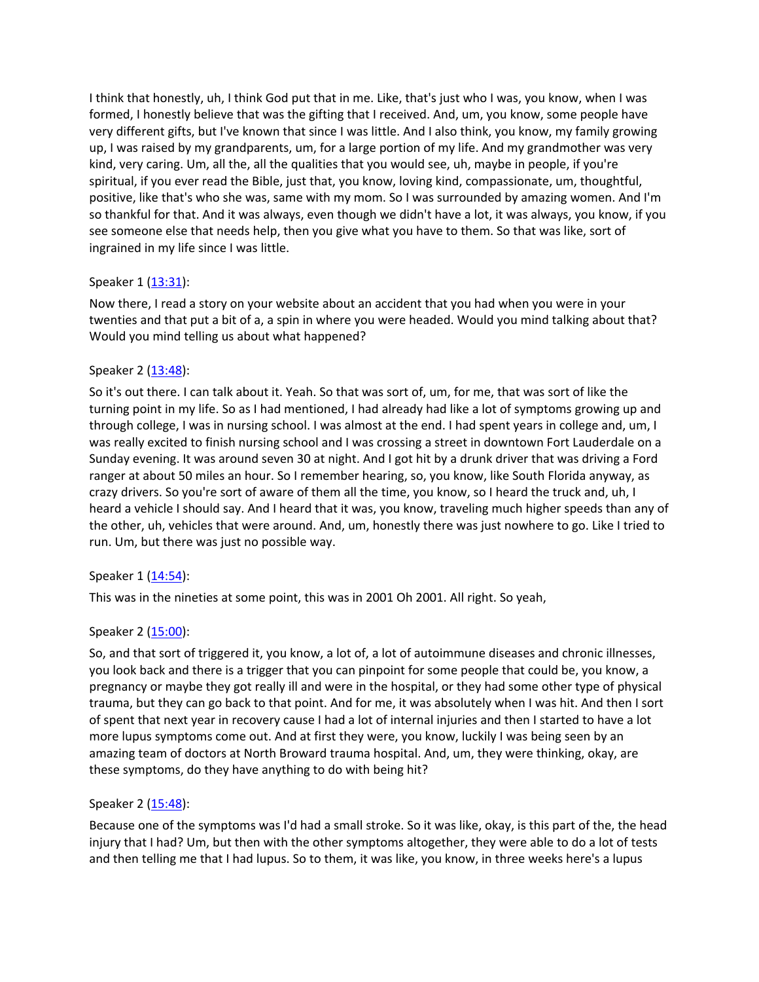I think that honestly, uh, I think God put that in me. Like, that's just who I was, you know, when I was formed, I honestly believe that was the gifting that I received. And, um, you know, some people have very different gifts, but I've known that since I was little. And I also think, you know, my family growing up, I was raised by my grandparents, um, for a large portion of my life. And my grandmother was very kind, very caring. Um, all the, all the qualities that you would see, uh, maybe in people, if you're spiritual, if you ever read the Bible, just that, you know, loving kind, compassionate, um, thoughtful, positive, like that's who she was, same with my mom. So I was surrounded by amazing women. And I'm so thankful for that. And it was always, even though we didn't have a lot, it was always, you know, if you see someone else that needs help, then you give what you have to them. So that was like, sort of ingrained in my life since I was little.

## Speaker 1 ([13:31](https://www.temi.com/editor/t/pU7z3CuQIqpzWOVG_dDyO-YYXZDFmEHa6jJJtX16Ztm1EgtyEWRsiZoXlYPXfgoovF4p_iCRHXtguVVCnfvk6YobUDU?loadFrom=SharedLink&ts=811.53)):

Now there, I read a story on your website about an accident that you had when you were in your twenties and that put a bit of a, a spin in where you were headed. Would you mind talking about that? Would you mind telling us about what happened?

## Speaker 2 ([13:48](https://www.temi.com/editor/t/pU7z3CuQIqpzWOVG_dDyO-YYXZDFmEHa6jJJtX16Ztm1EgtyEWRsiZoXlYPXfgoovF4p_iCRHXtguVVCnfvk6YobUDU?loadFrom=SharedLink&ts=828.63)):

So it's out there. I can talk about it. Yeah. So that was sort of, um, for me, that was sort of like the turning point in my life. So as I had mentioned, I had already had like a lot of symptoms growing up and through college, I was in nursing school. I was almost at the end. I had spent years in college and, um, I was really excited to finish nursing school and I was crossing a street in downtown Fort Lauderdale on a Sunday evening. It was around seven 30 at night. And I got hit by a drunk driver that was driving a Ford ranger at about 50 miles an hour. So I remember hearing, so, you know, like South Florida anyway, as crazy drivers. So you're sort of aware of them all the time, you know, so I heard the truck and, uh, I heard a vehicle I should say. And I heard that it was, you know, traveling much higher speeds than any of the other, uh, vehicles that were around. And, um, honestly there was just nowhere to go. Like I tried to run. Um, but there was just no possible way.

## Speaker 1 ([14:54](https://www.temi.com/editor/t/pU7z3CuQIqpzWOVG_dDyO-YYXZDFmEHa6jJJtX16Ztm1EgtyEWRsiZoXlYPXfgoovF4p_iCRHXtguVVCnfvk6YobUDU?loadFrom=SharedLink&ts=894.13)):

This was in the nineties at some point, this was in 2001 Oh 2001. All right. So yeah,

# Speaker 2 ([15:00](https://www.temi.com/editor/t/pU7z3CuQIqpzWOVG_dDyO-YYXZDFmEHa6jJJtX16Ztm1EgtyEWRsiZoXlYPXfgoovF4p_iCRHXtguVVCnfvk6YobUDU?loadFrom=SharedLink&ts=900.79)):

So, and that sort of triggered it, you know, a lot of, a lot of autoimmune diseases and chronic illnesses, you look back and there is a trigger that you can pinpoint for some people that could be, you know, a pregnancy or maybe they got really ill and were in the hospital, or they had some other type of physical trauma, but they can go back to that point. And for me, it was absolutely when I was hit. And then I sort of spent that next year in recovery cause I had a lot of internal injuries and then I started to have a lot more lupus symptoms come out. And at first they were, you know, luckily I was being seen by an amazing team of doctors at North Broward trauma hospital. And, um, they were thinking, okay, are these symptoms, do they have anything to do with being hit?

## Speaker 2 ([15:48](https://www.temi.com/editor/t/pU7z3CuQIqpzWOVG_dDyO-YYXZDFmEHa6jJJtX16Ztm1EgtyEWRsiZoXlYPXfgoovF4p_iCRHXtguVVCnfvk6YobUDU?loadFrom=SharedLink&ts=948.79)):

Because one of the symptoms was I'd had a small stroke. So it was like, okay, is this part of the, the head injury that I had? Um, but then with the other symptoms altogether, they were able to do a lot of tests and then telling me that I had lupus. So to them, it was like, you know, in three weeks here's a lupus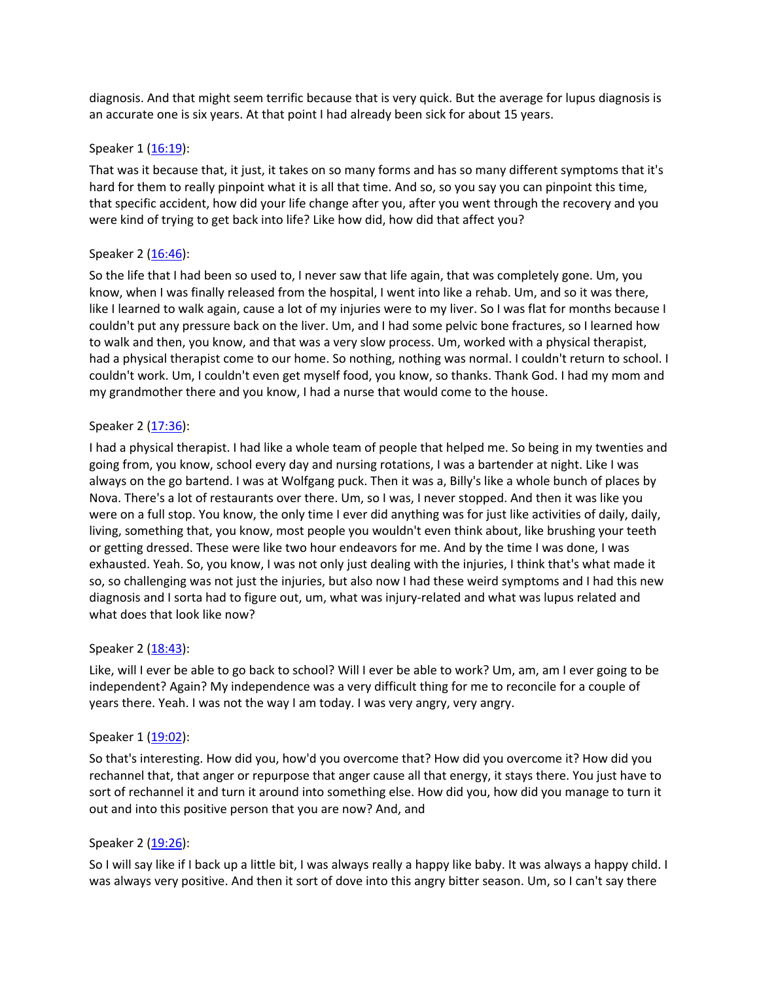diagnosis. And that might seem terrific because that is very quick. But the average for lupus diagnosis is an accurate one is six years. At that point I had already been sick for about 15 years.

## Speaker 1 ([16:19](https://www.temi.com/editor/t/pU7z3CuQIqpzWOVG_dDyO-YYXZDFmEHa6jJJtX16Ztm1EgtyEWRsiZoXlYPXfgoovF4p_iCRHXtguVVCnfvk6YobUDU?loadFrom=SharedLink&ts=979.75)):

That was it because that, it just, it takes on so many forms and has so many different symptoms that it's hard for them to really pinpoint what it is all that time. And so, so you say you can pinpoint this time, that specific accident, how did your life change after you, after you went through the recovery and you were kind of trying to get back into life? Like how did, how did that affect you?

## Speaker 2 ([16:46](https://www.temi.com/editor/t/pU7z3CuQIqpzWOVG_dDyO-YYXZDFmEHa6jJJtX16Ztm1EgtyEWRsiZoXlYPXfgoovF4p_iCRHXtguVVCnfvk6YobUDU?loadFrom=SharedLink&ts=1006.72)):

So the life that I had been so used to, I never saw that life again, that was completely gone. Um, you know, when I was finally released from the hospital, I went into like a rehab. Um, and so it was there, like I learned to walk again, cause a lot of my injuries were to my liver. So I was flat for months because I couldn't put any pressure back on the liver. Um, and I had some pelvic bone fractures, so I learned how to walk and then, you know, and that was a very slow process. Um, worked with a physical therapist, had a physical therapist come to our home. So nothing, nothing was normal. I couldn't return to school. I couldn't work. Um, I couldn't even get myself food, you know, so thanks. Thank God. I had my mom and my grandmother there and you know, I had a nurse that would come to the house.

#### Speaker 2 ([17:36](https://www.temi.com/editor/t/pU7z3CuQIqpzWOVG_dDyO-YYXZDFmEHa6jJJtX16Ztm1EgtyEWRsiZoXlYPXfgoovF4p_iCRHXtguVVCnfvk6YobUDU?loadFrom=SharedLink&ts=1056.19)):

I had a physical therapist. I had like a whole team of people that helped me. So being in my twenties and going from, you know, school every day and nursing rotations, I was a bartender at night. Like I was always on the go bartend. I was at Wolfgang puck. Then it was a, Billy's like a whole bunch of places by Nova. There's a lot of restaurants over there. Um, so I was, I never stopped. And then it was like you were on a full stop. You know, the only time I ever did anything was for just like activities of daily, daily, living, something that, you know, most people you wouldn't even think about, like brushing your teeth or getting dressed. These were like two hour endeavors for me. And by the time I was done, I was exhausted. Yeah. So, you know, I was not only just dealing with the injuries, I think that's what made it so, so challenging was not just the injuries, but also now I had these weird symptoms and I had this new diagnosis and I sorta had to figure out, um, what was injury-related and what was lupus related and what does that look like now?

#### Speaker 2 ([18:43](https://www.temi.com/editor/t/pU7z3CuQIqpzWOVG_dDyO-YYXZDFmEHa6jJJtX16Ztm1EgtyEWRsiZoXlYPXfgoovF4p_iCRHXtguVVCnfvk6YobUDU?loadFrom=SharedLink&ts=1123.2)):

Like, will I ever be able to go back to school? Will I ever be able to work? Um, am, am I ever going to be independent? Again? My independence was a very difficult thing for me to reconcile for a couple of years there. Yeah. I was not the way I am today. I was very angry, very angry.

#### Speaker 1 ([19:02](https://www.temi.com/editor/t/pU7z3CuQIqpzWOVG_dDyO-YYXZDFmEHa6jJJtX16Ztm1EgtyEWRsiZoXlYPXfgoovF4p_iCRHXtguVVCnfvk6YobUDU?loadFrom=SharedLink&ts=1142.54)):

So that's interesting. How did you, how'd you overcome that? How did you overcome it? How did you rechannel that, that anger or repurpose that anger cause all that energy, it stays there. You just have to sort of rechannel it and turn it around into something else. How did you, how did you manage to turn it out and into this positive person that you are now? And, and

## Speaker 2 ([19:26](https://www.temi.com/editor/t/pU7z3CuQIqpzWOVG_dDyO-YYXZDFmEHa6jJJtX16Ztm1EgtyEWRsiZoXlYPXfgoovF4p_iCRHXtguVVCnfvk6YobUDU?loadFrom=SharedLink&ts=1166.18)):

So I will say like if I back up a little bit, I was always really a happy like baby. It was always a happy child. I was always very positive. And then it sort of dove into this angry bitter season. Um, so I can't say there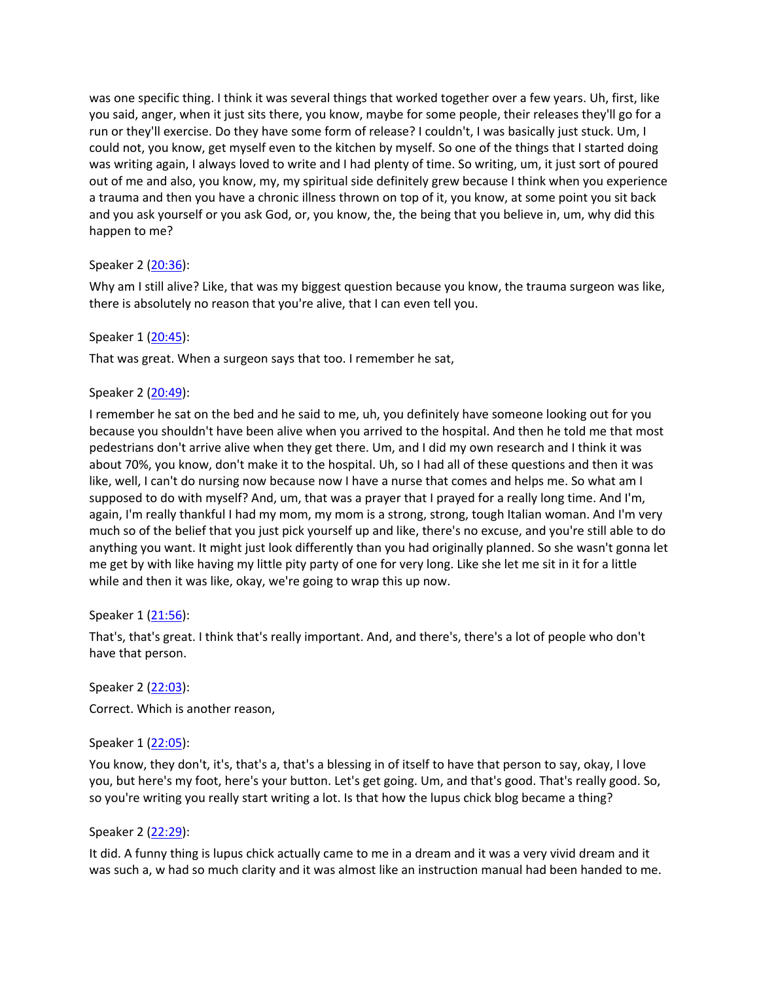was one specific thing. I think it was several things that worked together over a few years. Uh, first, like you said, anger, when it just sits there, you know, maybe for some people, their releases they'll go for a run or they'll exercise. Do they have some form of release? I couldn't, I was basically just stuck. Um, I could not, you know, get myself even to the kitchen by myself. So one of the things that I started doing was writing again, I always loved to write and I had plenty of time. So writing, um, it just sort of poured out of me and also, you know, my, my spiritual side definitely grew because I think when you experience a trauma and then you have a chronic illness thrown on top of it, you know, at some point you sit back and you ask yourself or you ask God, or, you know, the, the being that you believe in, um, why did this happen to me?

## Speaker 2 ([20:36](https://www.temi.com/editor/t/pU7z3CuQIqpzWOVG_dDyO-YYXZDFmEHa6jJJtX16Ztm1EgtyEWRsiZoXlYPXfgoovF4p_iCRHXtguVVCnfvk6YobUDU?loadFrom=SharedLink&ts=1236.17)):

Why am I still alive? Like, that was my biggest question because you know, the trauma surgeon was like, there is absolutely no reason that you're alive, that I can even tell you.

# Speaker 1 ([20:45](https://www.temi.com/editor/t/pU7z3CuQIqpzWOVG_dDyO-YYXZDFmEHa6jJJtX16Ztm1EgtyEWRsiZoXlYPXfgoovF4p_iCRHXtguVVCnfvk6YobUDU?loadFrom=SharedLink&ts=1245.5)):

That was great. When a surgeon says that too. I remember he sat,

# Speaker 2 ([20:49](https://www.temi.com/editor/t/pU7z3CuQIqpzWOVG_dDyO-YYXZDFmEHa6jJJtX16Ztm1EgtyEWRsiZoXlYPXfgoovF4p_iCRHXtguVVCnfvk6YobUDU?loadFrom=SharedLink&ts=1249)):

I remember he sat on the bed and he said to me, uh, you definitely have someone looking out for you because you shouldn't have been alive when you arrived to the hospital. And then he told me that most pedestrians don't arrive alive when they get there. Um, and I did my own research and I think it was about 70%, you know, don't make it to the hospital. Uh, so I had all of these questions and then it was like, well, I can't do nursing now because now I have a nurse that comes and helps me. So what am I supposed to do with myself? And, um, that was a prayer that I prayed for a really long time. And I'm, again, I'm really thankful I had my mom, my mom is a strong, strong, tough Italian woman. And I'm very much so of the belief that you just pick yourself up and like, there's no excuse, and you're still able to do anything you want. It might just look differently than you had originally planned. So she wasn't gonna let me get by with like having my little pity party of one for very long. Like she let me sit in it for a little while and then it was like, okay, we're going to wrap this up now.

## Speaker 1 ([21:56](https://www.temi.com/editor/t/pU7z3CuQIqpzWOVG_dDyO-YYXZDFmEHa6jJJtX16Ztm1EgtyEWRsiZoXlYPXfgoovF4p_iCRHXtguVVCnfvk6YobUDU?loadFrom=SharedLink&ts=1316.45)):

That's, that's great. I think that's really important. And, and there's, there's a lot of people who don't have that person.

Speaker 2 ([22:03](https://www.temi.com/editor/t/pU7z3CuQIqpzWOVG_dDyO-YYXZDFmEHa6jJJtX16Ztm1EgtyEWRsiZoXlYPXfgoovF4p_iCRHXtguVVCnfvk6YobUDU?loadFrom=SharedLink&ts=1323.54)): Correct. Which is another reason,

## Speaker 1 ([22:05](https://www.temi.com/editor/t/pU7z3CuQIqpzWOVG_dDyO-YYXZDFmEHa6jJJtX16Ztm1EgtyEWRsiZoXlYPXfgoovF4p_iCRHXtguVVCnfvk6YobUDU?loadFrom=SharedLink&ts=1325.37)):

You know, they don't, it's, that's a, that's a blessing in of itself to have that person to say, okay, I love you, but here's my foot, here's your button. Let's get going. Um, and that's good. That's really good. So, so you're writing you really start writing a lot. Is that how the lupus chick blog became a thing?

## Speaker 2 ([22:29](https://www.temi.com/editor/t/pU7z3CuQIqpzWOVG_dDyO-YYXZDFmEHa6jJJtX16Ztm1EgtyEWRsiZoXlYPXfgoovF4p_iCRHXtguVVCnfvk6YobUDU?loadFrom=SharedLink&ts=1349.37)):

It did. A funny thing is lupus chick actually came to me in a dream and it was a very vivid dream and it was such a, w had so much clarity and it was almost like an instruction manual had been handed to me.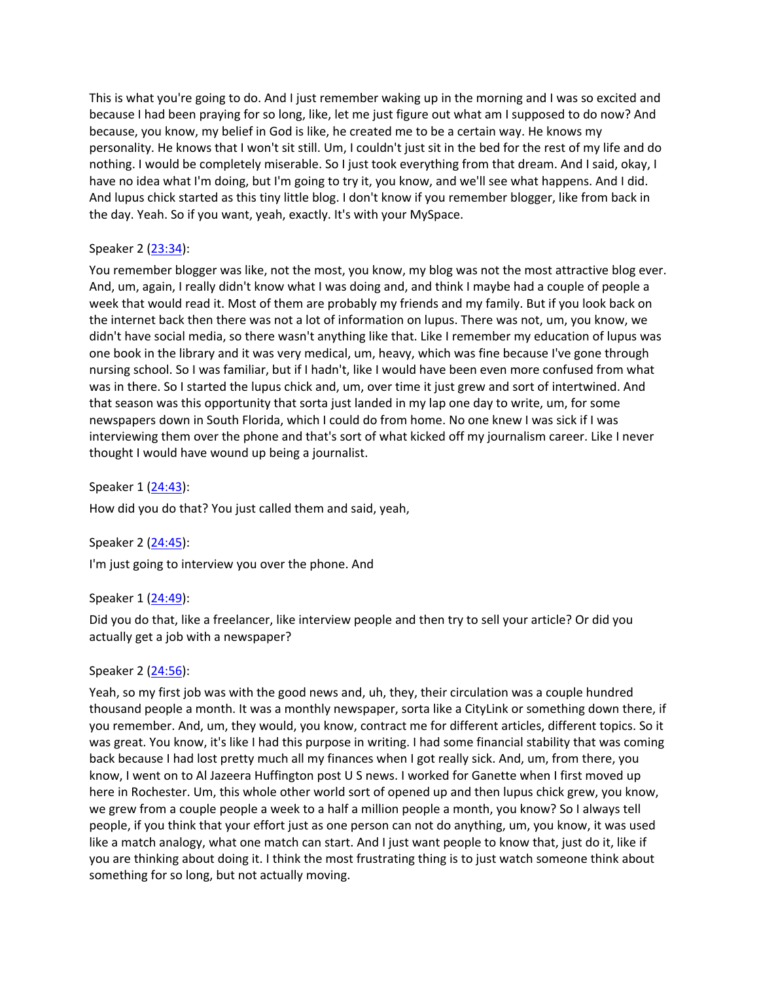This is what you're going to do. And I just remember waking up in the morning and I was so excited and because I had been praying for so long, like, let me just figure out what am I supposed to do now? And because, you know, my belief in God is like, he created me to be a certain way. He knows my personality. He knows that I won't sit still. Um, I couldn't just sit in the bed for the rest of my life and do nothing. I would be completely miserable. So I just took everything from that dream. And I said, okay, I have no idea what I'm doing, but I'm going to try it, you know, and we'll see what happens. And I did. And lupus chick started as this tiny little blog. I don't know if you remember blogger, like from back in the day. Yeah. So if you want, yeah, exactly. It's with your MySpace.

## Speaker 2 ([23:34](https://www.temi.com/editor/t/pU7z3CuQIqpzWOVG_dDyO-YYXZDFmEHa6jJJtX16Ztm1EgtyEWRsiZoXlYPXfgoovF4p_iCRHXtguVVCnfvk6YobUDU?loadFrom=SharedLink&ts=1414.69)):

You remember blogger was like, not the most, you know, my blog was not the most attractive blog ever. And, um, again, I really didn't know what I was doing and, and think I maybe had a couple of people a week that would read it. Most of them are probably my friends and my family. But if you look back on the internet back then there was not a lot of information on lupus. There was not, um, you know, we didn't have social media, so there wasn't anything like that. Like I remember my education of lupus was one book in the library and it was very medical, um, heavy, which was fine because I've gone through nursing school. So I was familiar, but if I hadn't, like I would have been even more confused from what was in there. So I started the lupus chick and, um, over time it just grew and sort of intertwined. And that season was this opportunity that sorta just landed in my lap one day to write, um, for some newspapers down in South Florida, which I could do from home. No one knew I was sick if I was interviewing them over the phone and that's sort of what kicked off my journalism career. Like I never thought I would have wound up being a journalist.

Speaker 1 ([24:43](https://www.temi.com/editor/t/pU7z3CuQIqpzWOVG_dDyO-YYXZDFmEHa6jJJtX16Ztm1EgtyEWRsiZoXlYPXfgoovF4p_iCRHXtguVVCnfvk6YobUDU?loadFrom=SharedLink&ts=1483.66)):

How did you do that? You just called them and said, yeah,

Speaker 2 ([24:45](https://www.temi.com/editor/t/pU7z3CuQIqpzWOVG_dDyO-YYXZDFmEHa6jJJtX16Ztm1EgtyEWRsiZoXlYPXfgoovF4p_iCRHXtguVVCnfvk6YobUDU?loadFrom=SharedLink&ts=1485.88)):

I'm just going to interview you over the phone. And

Speaker 1 ([24:49](https://www.temi.com/editor/t/pU7z3CuQIqpzWOVG_dDyO-YYXZDFmEHa6jJJtX16Ztm1EgtyEWRsiZoXlYPXfgoovF4p_iCRHXtguVVCnfvk6YobUDU?loadFrom=SharedLink&ts=1489.24)):

Did you do that, like a freelancer, like interview people and then try to sell your article? Or did you actually get a job with a newspaper?

## Speaker 2 ([24:56](https://www.temi.com/editor/t/pU7z3CuQIqpzWOVG_dDyO-YYXZDFmEHa6jJJtX16Ztm1EgtyEWRsiZoXlYPXfgoovF4p_iCRHXtguVVCnfvk6YobUDU?loadFrom=SharedLink&ts=1496.71)):

Yeah, so my first job was with the good news and, uh, they, their circulation was a couple hundred thousand people a month. It was a monthly newspaper, sorta like a CityLink or something down there, if you remember. And, um, they would, you know, contract me for different articles, different topics. So it was great. You know, it's like I had this purpose in writing. I had some financial stability that was coming back because I had lost pretty much all my finances when I got really sick. And, um, from there, you know, I went on to Al Jazeera Huffington post U S news. I worked for Ganette when I first moved up here in Rochester. Um, this whole other world sort of opened up and then lupus chick grew, you know, we grew from a couple people a week to a half a million people a month, you know? So I always tell people, if you think that your effort just as one person can not do anything, um, you know, it was used like a match analogy, what one match can start. And I just want people to know that, just do it, like if you are thinking about doing it. I think the most frustrating thing is to just watch someone think about something for so long, but not actually moving.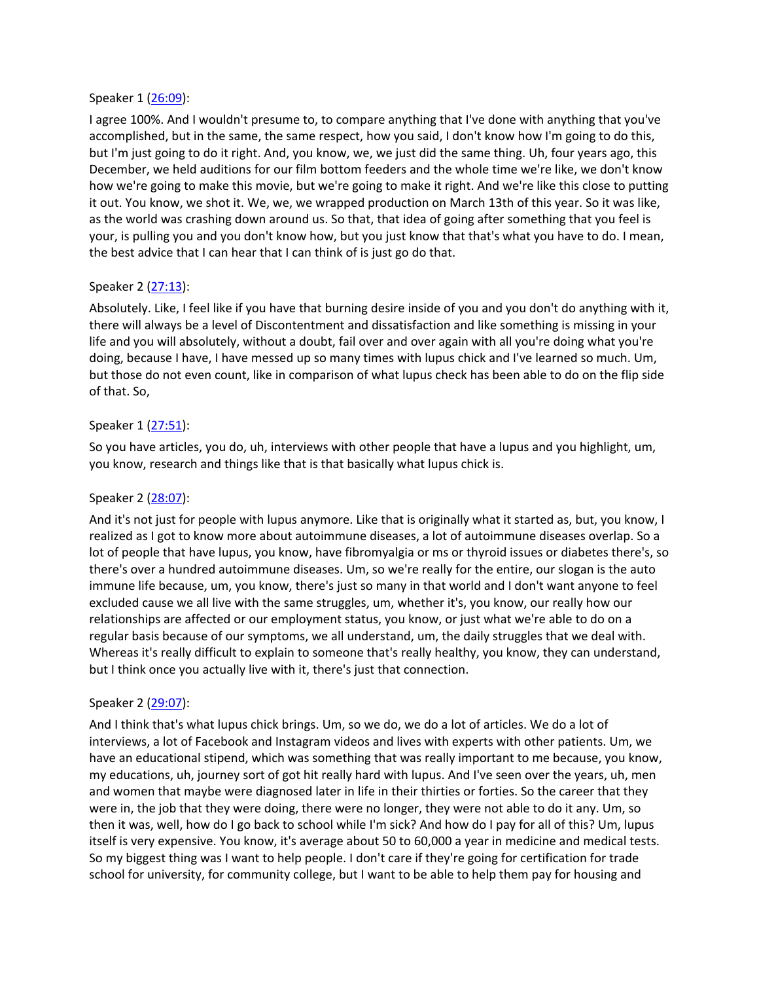#### Speaker 1 ([26:09](https://www.temi.com/editor/t/pU7z3CuQIqpzWOVG_dDyO-YYXZDFmEHa6jJJtX16Ztm1EgtyEWRsiZoXlYPXfgoovF4p_iCRHXtguVVCnfvk6YobUDU?loadFrom=SharedLink&ts=1569.61)):

I agree 100%. And I wouldn't presume to, to compare anything that I've done with anything that you've accomplished, but in the same, the same respect, how you said, I don't know how I'm going to do this, but I'm just going to do it right. And, you know, we, we just did the same thing. Uh, four years ago, this December, we held auditions for our film bottom feeders and the whole time we're like, we don't know how we're going to make this movie, but we're going to make it right. And we're like this close to putting it out. You know, we shot it. We, we, we wrapped production on March 13th of this year. So it was like, as the world was crashing down around us. So that, that idea of going after something that you feel is your, is pulling you and you don't know how, but you just know that that's what you have to do. I mean, the best advice that I can hear that I can think of is just go do that.

## Speaker 2 ([27:13](https://www.temi.com/editor/t/pU7z3CuQIqpzWOVG_dDyO-YYXZDFmEHa6jJJtX16Ztm1EgtyEWRsiZoXlYPXfgoovF4p_iCRHXtguVVCnfvk6YobUDU?loadFrom=SharedLink&ts=1633.94)):

Absolutely. Like, I feel like if you have that burning desire inside of you and you don't do anything with it, there will always be a level of Discontentment and dissatisfaction and like something is missing in your life and you will absolutely, without a doubt, fail over and over again with all you're doing what you're doing, because I have, I have messed up so many times with lupus chick and I've learned so much. Um, but those do not even count, like in comparison of what lupus check has been able to do on the flip side of that. So,

## Speaker 1 ([27:51](https://www.temi.com/editor/t/pU7z3CuQIqpzWOVG_dDyO-YYXZDFmEHa6jJJtX16Ztm1EgtyEWRsiZoXlYPXfgoovF4p_iCRHXtguVVCnfvk6YobUDU?loadFrom=SharedLink&ts=1671.92)):

So you have articles, you do, uh, interviews with other people that have a lupus and you highlight, um, you know, research and things like that is that basically what lupus chick is.

# Speaker 2 ([28:07](https://www.temi.com/editor/t/pU7z3CuQIqpzWOVG_dDyO-YYXZDFmEHa6jJJtX16Ztm1EgtyEWRsiZoXlYPXfgoovF4p_iCRHXtguVVCnfvk6YobUDU?loadFrom=SharedLink&ts=1687.16)):

And it's not just for people with lupus anymore. Like that is originally what it started as, but, you know, I realized as I got to know more about autoimmune diseases, a lot of autoimmune diseases overlap. So a lot of people that have lupus, you know, have fibromyalgia or ms or thyroid issues or diabetes there's, so there's over a hundred autoimmune diseases. Um, so we're really for the entire, our slogan is the auto immune life because, um, you know, there's just so many in that world and I don't want anyone to feel excluded cause we all live with the same struggles, um, whether it's, you know, our really how our relationships are affected or our employment status, you know, or just what we're able to do on a regular basis because of our symptoms, we all understand, um, the daily struggles that we deal with. Whereas it's really difficult to explain to someone that's really healthy, you know, they can understand, but I think once you actually live with it, there's just that connection.

## Speaker 2 ([29:07](https://www.temi.com/editor/t/pU7z3CuQIqpzWOVG_dDyO-YYXZDFmEHa6jJJtX16Ztm1EgtyEWRsiZoXlYPXfgoovF4p_iCRHXtguVVCnfvk6YobUDU?loadFrom=SharedLink&ts=1747.13)):

And I think that's what lupus chick brings. Um, so we do, we do a lot of articles. We do a lot of interviews, a lot of Facebook and Instagram videos and lives with experts with other patients. Um, we have an educational stipend, which was something that was really important to me because, you know, my educations, uh, journey sort of got hit really hard with lupus. And I've seen over the years, uh, men and women that maybe were diagnosed later in life in their thirties or forties. So the career that they were in, the job that they were doing, there were no longer, they were not able to do it any. Um, so then it was, well, how do I go back to school while I'm sick? And how do I pay for all of this? Um, lupus itself is very expensive. You know, it's average about 50 to 60,000 a year in medicine and medical tests. So my biggest thing was I want to help people. I don't care if they're going for certification for trade school for university, for community college, but I want to be able to help them pay for housing and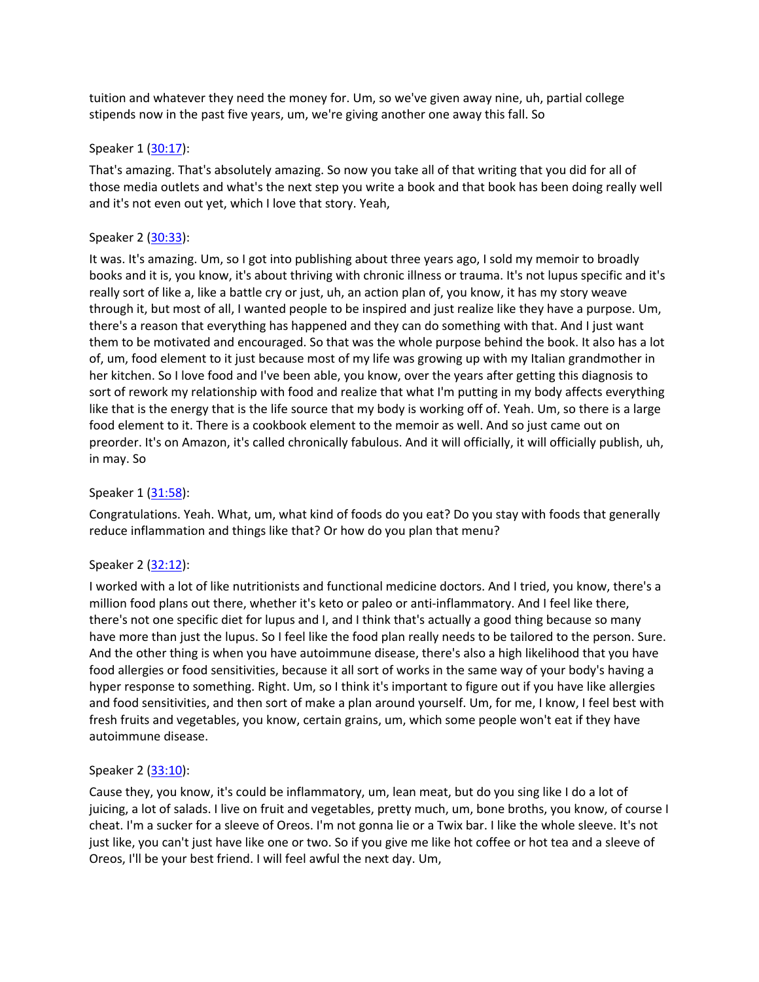tuition and whatever they need the money for. Um, so we've given away nine, uh, partial college stipends now in the past five years, um, we're giving another one away this fall. So

#### Speaker 1 ([30:17](https://www.temi.com/editor/t/pU7z3CuQIqpzWOVG_dDyO-YYXZDFmEHa6jJJtX16Ztm1EgtyEWRsiZoXlYPXfgoovF4p_iCRHXtguVVCnfvk6YobUDU?loadFrom=SharedLink&ts=1817.13)):

That's amazing. That's absolutely amazing. So now you take all of that writing that you did for all of those media outlets and what's the next step you write a book and that book has been doing really well and it's not even out yet, which I love that story. Yeah,

## Speaker 2 ([30:33](https://www.temi.com/editor/t/pU7z3CuQIqpzWOVG_dDyO-YYXZDFmEHa6jJJtX16Ztm1EgtyEWRsiZoXlYPXfgoovF4p_iCRHXtguVVCnfvk6YobUDU?loadFrom=SharedLink&ts=1833)):

It was. It's amazing. Um, so I got into publishing about three years ago, I sold my memoir to broadly books and it is, you know, it's about thriving with chronic illness or trauma. It's not lupus specific and it's really sort of like a, like a battle cry or just, uh, an action plan of, you know, it has my story weave through it, but most of all, I wanted people to be inspired and just realize like they have a purpose. Um, there's a reason that everything has happened and they can do something with that. And I just want them to be motivated and encouraged. So that was the whole purpose behind the book. It also has a lot of, um, food element to it just because most of my life was growing up with my Italian grandmother in her kitchen. So I love food and I've been able, you know, over the years after getting this diagnosis to sort of rework my relationship with food and realize that what I'm putting in my body affects everything like that is the energy that is the life source that my body is working off of. Yeah. Um, so there is a large food element to it. There is a cookbook element to the memoir as well. And so just came out on preorder. It's on Amazon, it's called chronically fabulous. And it will officially, it will officially publish, uh, in may. So

## Speaker 1 ([31:58](https://www.temi.com/editor/t/pU7z3CuQIqpzWOVG_dDyO-YYXZDFmEHa6jJJtX16Ztm1EgtyEWRsiZoXlYPXfgoovF4p_iCRHXtguVVCnfvk6YobUDU?loadFrom=SharedLink&ts=1918.5)):

Congratulations. Yeah. What, um, what kind of foods do you eat? Do you stay with foods that generally reduce inflammation and things like that? Or how do you plan that menu?

## Speaker 2 ([32:12](https://www.temi.com/editor/t/pU7z3CuQIqpzWOVG_dDyO-YYXZDFmEHa6jJJtX16Ztm1EgtyEWRsiZoXlYPXfgoovF4p_iCRHXtguVVCnfvk6YobUDU?loadFrom=SharedLink&ts=1932.63)):

I worked with a lot of like nutritionists and functional medicine doctors. And I tried, you know, there's a million food plans out there, whether it's keto or paleo or anti-inflammatory. And I feel like there, there's not one specific diet for lupus and I, and I think that's actually a good thing because so many have more than just the lupus. So I feel like the food plan really needs to be tailored to the person. Sure. And the other thing is when you have autoimmune disease, there's also a high likelihood that you have food allergies or food sensitivities, because it all sort of works in the same way of your body's having a hyper response to something. Right. Um, so I think it's important to figure out if you have like allergies and food sensitivities, and then sort of make a plan around yourself. Um, for me, I know, I feel best with fresh fruits and vegetables, you know, certain grains, um, which some people won't eat if they have autoimmune disease.

## Speaker 2 ([33:10](https://www.temi.com/editor/t/pU7z3CuQIqpzWOVG_dDyO-YYXZDFmEHa6jJJtX16Ztm1EgtyEWRsiZoXlYPXfgoovF4p_iCRHXtguVVCnfvk6YobUDU?loadFrom=SharedLink&ts=1990.73)):

Cause they, you know, it's could be inflammatory, um, lean meat, but do you sing like I do a lot of juicing, a lot of salads. I live on fruit and vegetables, pretty much, um, bone broths, you know, of course I cheat. I'm a sucker for a sleeve of Oreos. I'm not gonna lie or a Twix bar. I like the whole sleeve. It's not just like, you can't just have like one or two. So if you give me like hot coffee or hot tea and a sleeve of Oreos, I'll be your best friend. I will feel awful the next day. Um,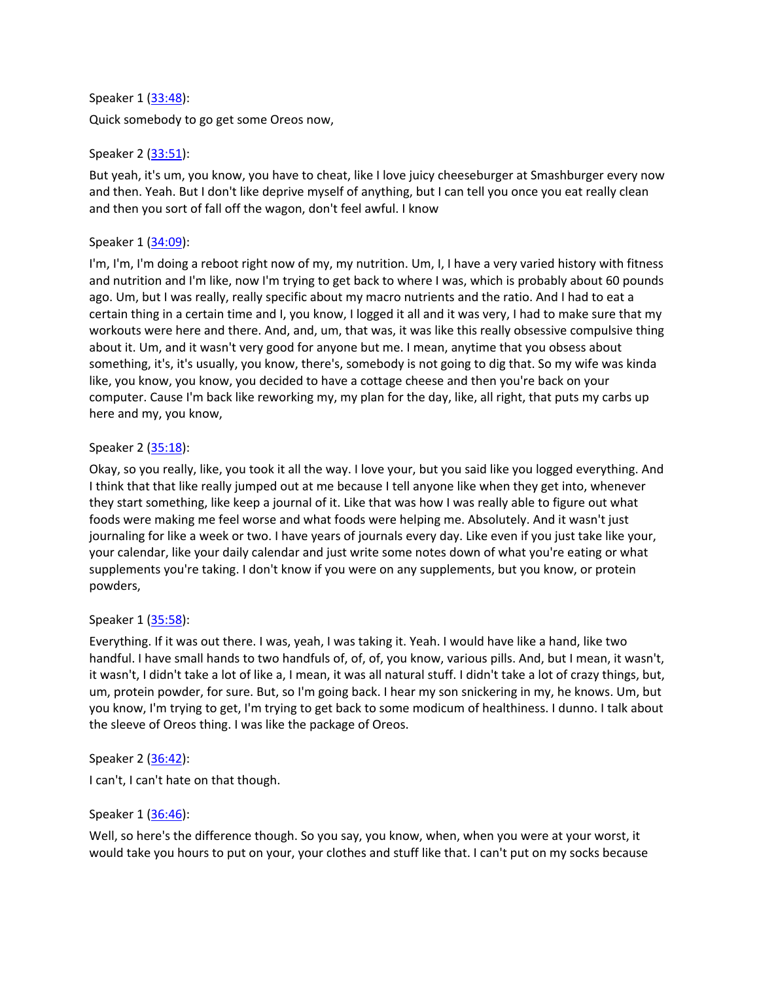## Speaker 1 ([33:48](https://www.temi.com/editor/t/pU7z3CuQIqpzWOVG_dDyO-YYXZDFmEHa6jJJtX16Ztm1EgtyEWRsiZoXlYPXfgoovF4p_iCRHXtguVVCnfvk6YobUDU?loadFrom=SharedLink&ts=2028.25)):

Quick somebody to go get some Oreos now,

# Speaker 2 ([33:51](https://www.temi.com/editor/t/pU7z3CuQIqpzWOVG_dDyO-YYXZDFmEHa6jJJtX16Ztm1EgtyEWRsiZoXlYPXfgoovF4p_iCRHXtguVVCnfvk6YobUDU?loadFrom=SharedLink&ts=2031.37)):

But yeah, it's um, you know, you have to cheat, like I love juicy cheeseburger at Smashburger every now and then. Yeah. But I don't like deprive myself of anything, but I can tell you once you eat really clean and then you sort of fall off the wagon, don't feel awful. I know

# Speaker 1 ([34:09](https://www.temi.com/editor/t/pU7z3CuQIqpzWOVG_dDyO-YYXZDFmEHa6jJJtX16Ztm1EgtyEWRsiZoXlYPXfgoovF4p_iCRHXtguVVCnfvk6YobUDU?loadFrom=SharedLink&ts=2049.73)):

I'm, I'm, I'm doing a reboot right now of my, my nutrition. Um, I, I have a very varied history with fitness and nutrition and I'm like, now I'm trying to get back to where I was, which is probably about 60 pounds ago. Um, but I was really, really specific about my macro nutrients and the ratio. And I had to eat a certain thing in a certain time and I, you know, I logged it all and it was very, I had to make sure that my workouts were here and there. And, and, um, that was, it was like this really obsessive compulsive thing about it. Um, and it wasn't very good for anyone but me. I mean, anytime that you obsess about something, it's, it's usually, you know, there's, somebody is not going to dig that. So my wife was kinda like, you know, you know, you decided to have a cottage cheese and then you're back on your computer. Cause I'm back like reworking my, my plan for the day, like, all right, that puts my carbs up here and my, you know,

# Speaker 2 ([35:18](https://www.temi.com/editor/t/pU7z3CuQIqpzWOVG_dDyO-YYXZDFmEHa6jJJtX16Ztm1EgtyEWRsiZoXlYPXfgoovF4p_iCRHXtguVVCnfvk6YobUDU?loadFrom=SharedLink&ts=2118.91)):

Okay, so you really, like, you took it all the way. I love your, but you said like you logged everything. And I think that that like really jumped out at me because I tell anyone like when they get into, whenever they start something, like keep a journal of it. Like that was how I was really able to figure out what foods were making me feel worse and what foods were helping me. Absolutely. And it wasn't just journaling for like a week or two. I have years of journals every day. Like even if you just take like your, your calendar, like your daily calendar and just write some notes down of what you're eating or what supplements you're taking. I don't know if you were on any supplements, but you know, or protein powders,

## Speaker 1 ([35:58](https://www.temi.com/editor/t/pU7z3CuQIqpzWOVG_dDyO-YYXZDFmEHa6jJJtX16Ztm1EgtyEWRsiZoXlYPXfgoovF4p_iCRHXtguVVCnfvk6YobUDU?loadFrom=SharedLink&ts=2158.28)):

Everything. If it was out there. I was, yeah, I was taking it. Yeah. I would have like a hand, like two handful. I have small hands to two handfuls of, of, of, you know, various pills. And, but I mean, it wasn't, it wasn't, I didn't take a lot of like a, I mean, it was all natural stuff. I didn't take a lot of crazy things, but, um, protein powder, for sure. But, so I'm going back. I hear my son snickering in my, he knows. Um, but you know, I'm trying to get, I'm trying to get back to some modicum of healthiness. I dunno. I talk about the sleeve of Oreos thing. I was like the package of Oreos.

## Speaker 2 ([36:42](https://www.temi.com/editor/t/pU7z3CuQIqpzWOVG_dDyO-YYXZDFmEHa6jJJtX16Ztm1EgtyEWRsiZoXlYPXfgoovF4p_iCRHXtguVVCnfvk6YobUDU?loadFrom=SharedLink&ts=2202.56)):

I can't, I can't hate on that though.

## Speaker 1 ([36:46](https://www.temi.com/editor/t/pU7z3CuQIqpzWOVG_dDyO-YYXZDFmEHa6jJJtX16Ztm1EgtyEWRsiZoXlYPXfgoovF4p_iCRHXtguVVCnfvk6YobUDU?loadFrom=SharedLink&ts=2206.94)):

Well, so here's the difference though. So you say, you know, when, when you were at your worst, it would take you hours to put on your, your clothes and stuff like that. I can't put on my socks because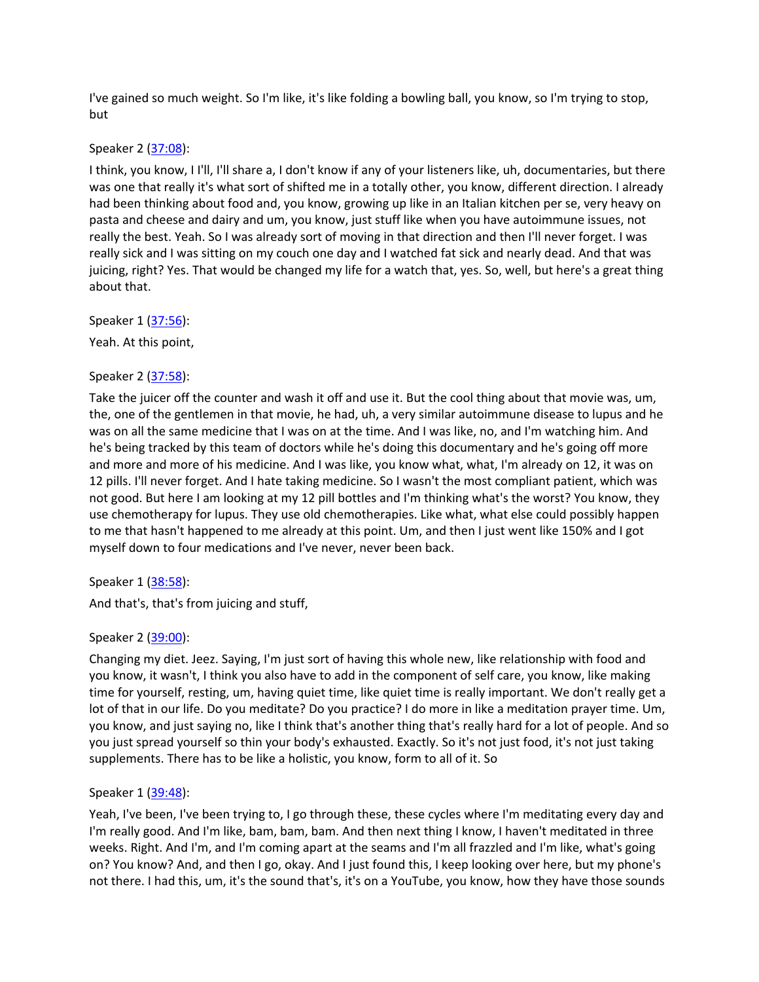I've gained so much weight. So I'm like, it's like folding a bowling ball, you know, so I'm trying to stop, but

Speaker 2 ([37:08](https://www.temi.com/editor/t/pU7z3CuQIqpzWOVG_dDyO-YYXZDFmEHa6jJJtX16Ztm1EgtyEWRsiZoXlYPXfgoovF4p_iCRHXtguVVCnfvk6YobUDU?loadFrom=SharedLink&ts=2228.21)):

I think, you know, I I'll, I'll share a, I don't know if any of your listeners like, uh, documentaries, but there was one that really it's what sort of shifted me in a totally other, you know, different direction. I already had been thinking about food and, you know, growing up like in an Italian kitchen per se, very heavy on pasta and cheese and dairy and um, you know, just stuff like when you have autoimmune issues, not really the best. Yeah. So I was already sort of moving in that direction and then I'll never forget. I was really sick and I was sitting on my couch one day and I watched fat sick and nearly dead. And that was juicing, right? Yes. That would be changed my life for a watch that, yes. So, well, but here's a great thing about that.

Speaker 1 ([37:56](https://www.temi.com/editor/t/pU7z3CuQIqpzWOVG_dDyO-YYXZDFmEHa6jJJtX16Ztm1EgtyEWRsiZoXlYPXfgoovF4p_iCRHXtguVVCnfvk6YobUDU?loadFrom=SharedLink&ts=2276.11)):

Yeah. At this point,

Speaker 2 ([37:58](https://www.temi.com/editor/t/pU7z3CuQIqpzWOVG_dDyO-YYXZDFmEHa6jJJtX16Ztm1EgtyEWRsiZoXlYPXfgoovF4p_iCRHXtguVVCnfvk6YobUDU?loadFrom=SharedLink&ts=2278.16)):

Take the juicer off the counter and wash it off and use it. But the cool thing about that movie was, um, the, one of the gentlemen in that movie, he had, uh, a very similar autoimmune disease to lupus and he was on all the same medicine that I was on at the time. And I was like, no, and I'm watching him. And he's being tracked by this team of doctors while he's doing this documentary and he's going off more and more and more of his medicine. And I was like, you know what, what, I'm already on 12, it was on 12 pills. I'll never forget. And I hate taking medicine. So I wasn't the most compliant patient, which was not good. But here I am looking at my 12 pill bottles and I'm thinking what's the worst? You know, they use chemotherapy for lupus. They use old chemotherapies. Like what, what else could possibly happen to me that hasn't happened to me already at this point. Um, and then I just went like 150% and I got myself down to four medications and I've never, never been back.

Speaker 1 ([38:58](https://www.temi.com/editor/t/pU7z3CuQIqpzWOVG_dDyO-YYXZDFmEHa6jJJtX16Ztm1EgtyEWRsiZoXlYPXfgoovF4p_iCRHXtguVVCnfvk6YobUDU?loadFrom=SharedLink&ts=2338.56)):

And that's, that's from juicing and stuff,

## Speaker 2 ([39:00](https://www.temi.com/editor/t/pU7z3CuQIqpzWOVG_dDyO-YYXZDFmEHa6jJJtX16Ztm1EgtyEWRsiZoXlYPXfgoovF4p_iCRHXtguVVCnfvk6YobUDU?loadFrom=SharedLink&ts=2340.63)):

Changing my diet. Jeez. Saying, I'm just sort of having this whole new, like relationship with food and you know, it wasn't, I think you also have to add in the component of self care, you know, like making time for yourself, resting, um, having quiet time, like quiet time is really important. We don't really get a lot of that in our life. Do you meditate? Do you practice? I do more in like a meditation prayer time. Um, you know, and just saying no, like I think that's another thing that's really hard for a lot of people. And so you just spread yourself so thin your body's exhausted. Exactly. So it's not just food, it's not just taking supplements. There has to be like a holistic, you know, form to all of it. So

## Speaker 1 ([39:48](https://www.temi.com/editor/t/pU7z3CuQIqpzWOVG_dDyO-YYXZDFmEHa6jJJtX16Ztm1EgtyEWRsiZoXlYPXfgoovF4p_iCRHXtguVVCnfvk6YobUDU?loadFrom=SharedLink&ts=2388)):

Yeah, I've been, I've been trying to, I go through these, these cycles where I'm meditating every day and I'm really good. And I'm like, bam, bam, bam. And then next thing I know, I haven't meditated in three weeks. Right. And I'm, and I'm coming apart at the seams and I'm all frazzled and I'm like, what's going on? You know? And, and then I go, okay. And I just found this, I keep looking over here, but my phone's not there. I had this, um, it's the sound that's, it's on a YouTube, you know, how they have those sounds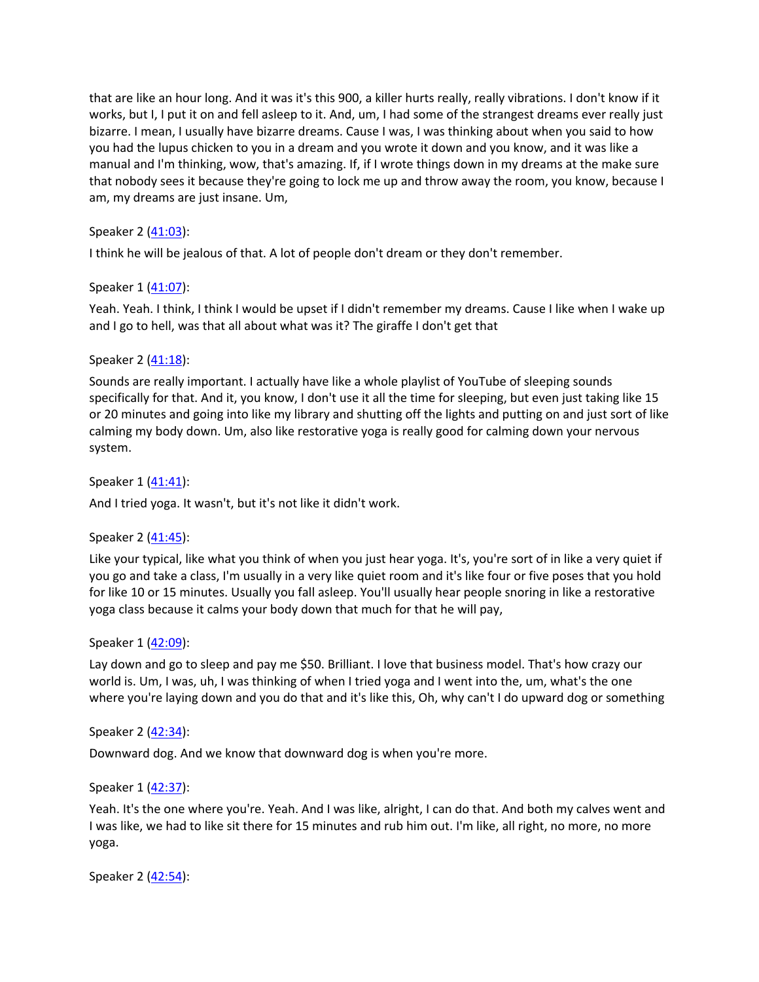that are like an hour long. And it was it's this 900, a killer hurts really, really vibrations. I don't know if it works, but I, I put it on and fell asleep to it. And, um, I had some of the strangest dreams ever really just bizarre. I mean, I usually have bizarre dreams. Cause I was, I was thinking about when you said to how you had the lupus chicken to you in a dream and you wrote it down and you know, and it was like a manual and I'm thinking, wow, that's amazing. If, if I wrote things down in my dreams at the make sure that nobody sees it because they're going to lock me up and throw away the room, you know, because I am, my dreams are just insane. Um,

# Speaker 2 ([41:03](https://www.temi.com/editor/t/pU7z3CuQIqpzWOVG_dDyO-YYXZDFmEHa6jJJtX16Ztm1EgtyEWRsiZoXlYPXfgoovF4p_iCRHXtguVVCnfvk6YobUDU?loadFrom=SharedLink&ts=2463.63)):

I think he will be jealous of that. A lot of people don't dream or they don't remember.

#### Speaker 1 ([41:07](https://www.temi.com/editor/t/pU7z3CuQIqpzWOVG_dDyO-YYXZDFmEHa6jJJtX16Ztm1EgtyEWRsiZoXlYPXfgoovF4p_iCRHXtguVVCnfvk6YobUDU?loadFrom=SharedLink&ts=2467.26)):

Yeah. Yeah. I think, I think I would be upset if I didn't remember my dreams. Cause I like when I wake up and I go to hell, was that all about what was it? The giraffe I don't get that

#### Speaker 2 ([41:18](https://www.temi.com/editor/t/pU7z3CuQIqpzWOVG_dDyO-YYXZDFmEHa6jJJtX16Ztm1EgtyEWRsiZoXlYPXfgoovF4p_iCRHXtguVVCnfvk6YobUDU?loadFrom=SharedLink&ts=2478.15)):

Sounds are really important. I actually have like a whole playlist of YouTube of sleeping sounds specifically for that. And it, you know, I don't use it all the time for sleeping, but even just taking like 15 or 20 minutes and going into like my library and shutting off the lights and putting on and just sort of like calming my body down. Um, also like restorative yoga is really good for calming down your nervous system.

Speaker 1 ([41:41](https://www.temi.com/editor/t/pU7z3CuQIqpzWOVG_dDyO-YYXZDFmEHa6jJJtX16Ztm1EgtyEWRsiZoXlYPXfgoovF4p_iCRHXtguVVCnfvk6YobUDU?loadFrom=SharedLink&ts=2501.92)): And I tried yoga. It wasn't, but it's not like it didn't work.

## Speaker 2 ([41:45](https://www.temi.com/editor/t/pU7z3CuQIqpzWOVG_dDyO-YYXZDFmEHa6jJJtX16Ztm1EgtyEWRsiZoXlYPXfgoovF4p_iCRHXtguVVCnfvk6YobUDU?loadFrom=SharedLink&ts=2505.29)):

Like your typical, like what you think of when you just hear yoga. It's, you're sort of in like a very quiet if you go and take a class, I'm usually in a very like quiet room and it's like four or five poses that you hold for like 10 or 15 minutes. Usually you fall asleep. You'll usually hear people snoring in like a restorative yoga class because it calms your body down that much for that he will pay,

#### Speaker 1 ([42:09](https://www.temi.com/editor/t/pU7z3CuQIqpzWOVG_dDyO-YYXZDFmEHa6jJJtX16Ztm1EgtyEWRsiZoXlYPXfgoovF4p_iCRHXtguVVCnfvk6YobUDU?loadFrom=SharedLink&ts=2529.91)):

Lay down and go to sleep and pay me \$50. Brilliant. I love that business model. That's how crazy our world is. Um, I was, uh, I was thinking of when I tried yoga and I went into the, um, what's the one where you're laying down and you do that and it's like this, Oh, why can't I do upward dog or something

## Speaker 2 ([42:34](https://www.temi.com/editor/t/pU7z3CuQIqpzWOVG_dDyO-YYXZDFmEHa6jJJtX16Ztm1EgtyEWRsiZoXlYPXfgoovF4p_iCRHXtguVVCnfvk6YobUDU?loadFrom=SharedLink&ts=2554.18)):

Downward dog. And we know that downward dog is when you're more.

## Speaker 1 ([42:37](https://www.temi.com/editor/t/pU7z3CuQIqpzWOVG_dDyO-YYXZDFmEHa6jJJtX16Ztm1EgtyEWRsiZoXlYPXfgoovF4p_iCRHXtguVVCnfvk6YobUDU?loadFrom=SharedLink&ts=2557.03)):

Yeah. It's the one where you're. Yeah. And I was like, alright, I can do that. And both my calves went and I was like, we had to like sit there for 15 minutes and rub him out. I'm like, all right, no more, no more yoga.

Speaker 2 ([42:54](https://www.temi.com/editor/t/pU7z3CuQIqpzWOVG_dDyO-YYXZDFmEHa6jJJtX16Ztm1EgtyEWRsiZoXlYPXfgoovF4p_iCRHXtguVVCnfvk6YobUDU?loadFrom=SharedLink&ts=2574.1)):